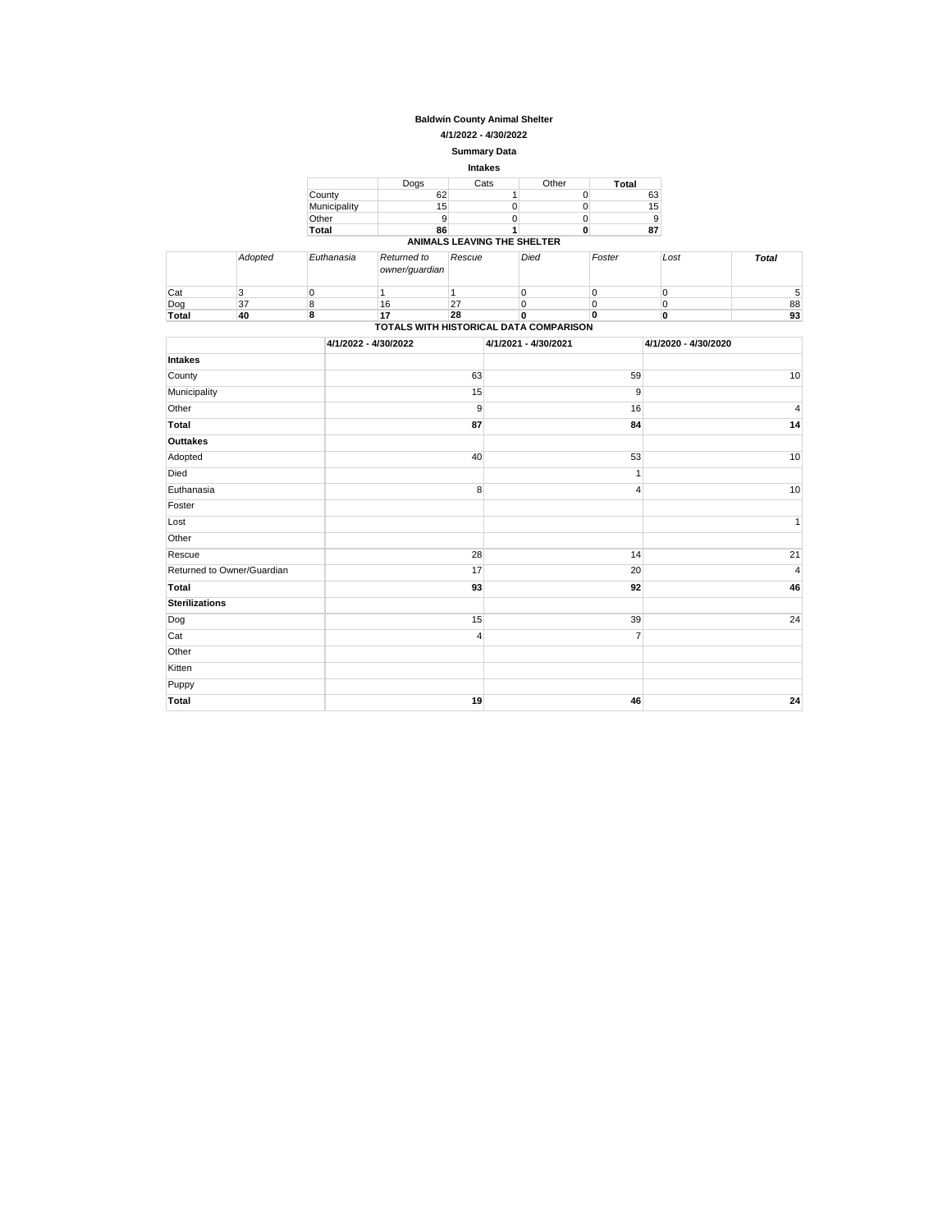## **Baldwin County Animal Shelter**

**4/1/2022 - 4/30/2022**

### **Summary Data**

| <b>Intakes</b> |      |      |       |       |  |  |  |
|----------------|------|------|-------|-------|--|--|--|
|                | Dogs | Cats | Other | Total |  |  |  |
| County         | 62   |      |       | 63    |  |  |  |
| Municipality   | 15   |      |       | 15    |  |  |  |
| Other          | 9    |      |       | 9     |  |  |  |
| Total          | 86   |      | υ     | 87    |  |  |  |

#### **ANIMALS LEAVING THE SHELTER**

|              | Adopted       | Euthanasia | Returned to<br>owner/guardian | Rescue | Died | Foster | Lost | <b>Total</b> |
|--------------|---------------|------------|-------------------------------|--------|------|--------|------|--------------|
| Cat          |               |            |                               |        |      |        |      |              |
| Dog          | $\sim$<br>ا ٿ |            | 16                            | 27     |      |        |      | 88           |
| <b>Total</b> | 40            |            | . .                           | 28     |      |        |      | 93           |

### **TOTALS WITH HISTORICAL DATA COMPARISON**

|                            | TO TALD THITLE INTO TORROTLE DATA OOM! ARROOM |                      |                      |  |  |  |  |
|----------------------------|-----------------------------------------------|----------------------|----------------------|--|--|--|--|
|                            | 4/1/2022 - 4/30/2022                          | 4/1/2021 - 4/30/2021 | 4/1/2020 - 4/30/2020 |  |  |  |  |
| <b>Intakes</b>             |                                               |                      |                      |  |  |  |  |
| County                     | 63                                            | 59                   | 10                   |  |  |  |  |
| Municipality               | 15                                            | 9                    |                      |  |  |  |  |
| Other                      | 9                                             | 16                   | $\overline{4}$       |  |  |  |  |
| <b>Total</b>               | 87                                            | 84                   | 14                   |  |  |  |  |
| <b>Outtakes</b>            |                                               |                      |                      |  |  |  |  |
| Adopted                    | 40                                            | 53                   | 10                   |  |  |  |  |
| Died                       |                                               | 1                    |                      |  |  |  |  |
| Euthanasia                 | 8                                             | 4                    | 10                   |  |  |  |  |
| Foster                     |                                               |                      |                      |  |  |  |  |
| Lost                       |                                               |                      | $\mathbf{1}$         |  |  |  |  |
| Other                      |                                               |                      |                      |  |  |  |  |
| Rescue                     | 28                                            | 14                   | 21                   |  |  |  |  |
| Returned to Owner/Guardian | 17                                            | 20                   | $\overline{4}$       |  |  |  |  |
| Total                      | 93                                            | 92                   | 46                   |  |  |  |  |
| <b>Sterilizations</b>      |                                               |                      |                      |  |  |  |  |
| Dog                        | 15                                            | 39                   | 24                   |  |  |  |  |
| Cat                        | $\overline{4}$                                | $\overline{7}$       |                      |  |  |  |  |
| Other                      |                                               |                      |                      |  |  |  |  |
| Kitten                     |                                               |                      |                      |  |  |  |  |
| Puppy                      |                                               |                      |                      |  |  |  |  |
| Total                      | 19                                            | 46                   | 24                   |  |  |  |  |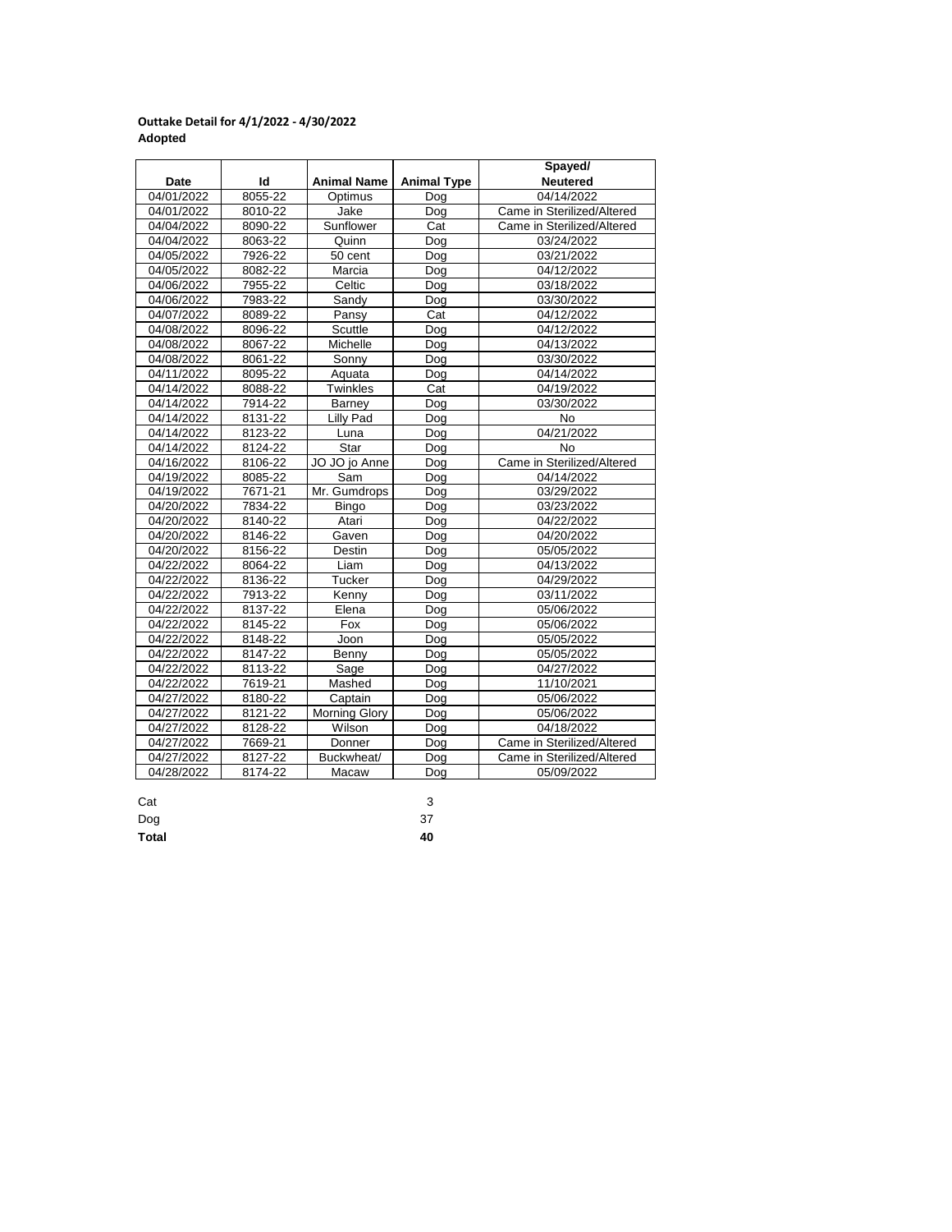## **Outtake Detail for 4/1/2022 - 4/30/2022 Adopted**

|             |         |                      |                    | Spayed/                    |
|-------------|---------|----------------------|--------------------|----------------------------|
| <b>Date</b> | Id      | <b>Animal Name</b>   | <b>Animal Type</b> | <b>Neutered</b>            |
| 04/01/2022  | 8055-22 | Optimus              | Dog                | 04/14/2022                 |
| 04/01/2022  | 8010-22 | Jake                 | Dog                | Came in Sterilized/Altered |
| 04/04/2022  | 8090-22 | Sunflower            | Cat                | Came in Sterilized/Altered |
| 04/04/2022  | 8063-22 | Quinn                | Dog                | 03/24/2022                 |
| 04/05/2022  | 7926-22 | 50 cent              | Dog                | 03/21/2022                 |
| 04/05/2022  | 8082-22 | Marcia               | Dog                | 04/12/2022                 |
| 04/06/2022  | 7955-22 | Celtic               | Dog                | 03/18/2022                 |
| 04/06/2022  | 7983-22 | Sandy                | Dog                | 03/30/2022                 |
| 04/07/2022  | 8089-22 | Pansy                | Cat                | 04/12/2022                 |
| 04/08/2022  | 8096-22 | Scuttle              | Dog                | 04/12/2022                 |
| 04/08/2022  | 8067-22 | Michelle             | Dog                | 04/13/2022                 |
| 04/08/2022  | 8061-22 | Sonny                | Dog                | 03/30/2022                 |
| 04/11/2022  | 8095-22 | Aquata               | Dog                | 04/14/2022                 |
| 04/14/2022  | 8088-22 | <b>Twinkles</b>      | Cat                | 04/19/2022                 |
| 04/14/2022  | 7914-22 | Barney               | Dog                | 03/30/2022                 |
| 04/14/2022  | 8131-22 | Lilly Pad            | Dog                | No                         |
| 04/14/2022  | 8123-22 | Luna                 | Dog                | 04/21/2022                 |
| 04/14/2022  | 8124-22 | Star                 | Dog                | <b>No</b>                  |
| 04/16/2022  | 8106-22 | JO JO jo Anne        | Dog                | Came in Sterilized/Altered |
| 04/19/2022  | 8085-22 | Sam                  | Dog                | 04/14/2022                 |
| 04/19/2022  | 7671-21 | Mr. Gumdrops         | Dog                | 03/29/2022                 |
| 04/20/2022  | 7834-22 | Bingo                | Dog                | 03/23/2022                 |
| 04/20/2022  | 8140-22 | Atari                | Dog                | 04/22/2022                 |
| 04/20/2022  | 8146-22 | Gaven                | Dog                | 04/20/2022                 |
| 04/20/2022  | 8156-22 | Destin               | Dog                | 05/05/2022                 |
| 04/22/2022  | 8064-22 | Liam                 | Dog                | 04/13/2022                 |
| 04/22/2022  | 8136-22 | Tucker               | Dog                | 04/29/2022                 |
| 04/22/2022  | 7913-22 | Kenny                | Dog                | 03/11/2022                 |
| 04/22/2022  | 8137-22 | Elena                | Dog                | 05/06/2022                 |
| 04/22/2022  | 8145-22 | Fox                  | Dog                | 05/06/2022                 |
| 04/22/2022  | 8148-22 | Joon                 | Dog                | 05/05/2022                 |
| 04/22/2022  | 8147-22 | Benny                | Dog                | 05/05/2022                 |
| 04/22/2022  | 8113-22 | Sage                 | Dog                | 04/27/2022                 |
| 04/22/2022  | 7619-21 | Mashed               | Dog                | 11/10/2021                 |
| 04/27/2022  | 8180-22 | Captain              | Dog                | 05/06/2022                 |
| 04/27/2022  | 8121-22 | <b>Morning Glory</b> | Dog                | 05/06/2022                 |
| 04/27/2022  | 8128-22 | Wilson               | Dog                | 04/18/2022                 |
| 04/27/2022  | 7669-21 | Donner               | Dog                | Came in Sterilized/Altered |
| 04/27/2022  | 8127-22 | Buckwheat/           | Dog                | Came in Sterilized/Altered |
| 04/28/2022  | 8174-22 | Macaw                | Dog                | 05/09/2022                 |

Cat 3

Dog 37 **Total 40**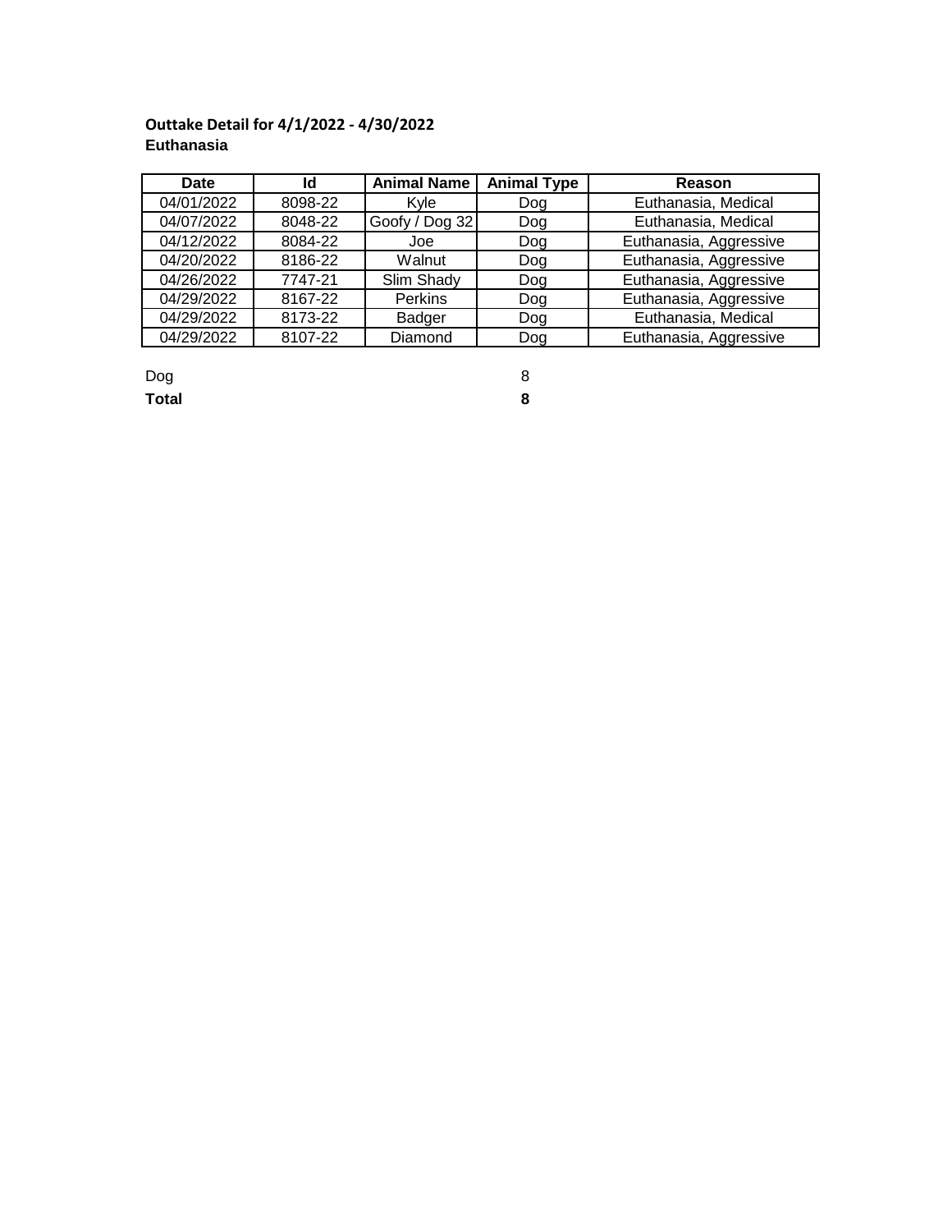# **Outtake Detail for 4/1/2022 - 4/30/2022 Euthanasia**

| Date       | Id      | Animal Name    | <b>Animal Type</b> | Reason                 |
|------------|---------|----------------|--------------------|------------------------|
| 04/01/2022 | 8098-22 | Kvle           | Dog                | Euthanasia, Medical    |
| 04/07/2022 | 8048-22 | Goofy / Dog 32 | Dog                | Euthanasia, Medical    |
| 04/12/2022 | 8084-22 | Joe            | Dog                | Euthanasia, Aggressive |
| 04/20/2022 | 8186-22 | Walnut         | Dog                | Euthanasia, Aggressive |
| 04/26/2022 | 7747-21 | Slim Shady     | Dog                | Euthanasia, Aggressive |
| 04/29/2022 | 8167-22 | Perkins        | Dog                | Euthanasia, Aggressive |
| 04/29/2022 | 8173-22 | Badger         | Dog                | Euthanasia, Medical    |
| 04/29/2022 | 8107-22 | Diamond        | Doa                | Euthanasia, Aggressive |

Dog 8

**Total 8**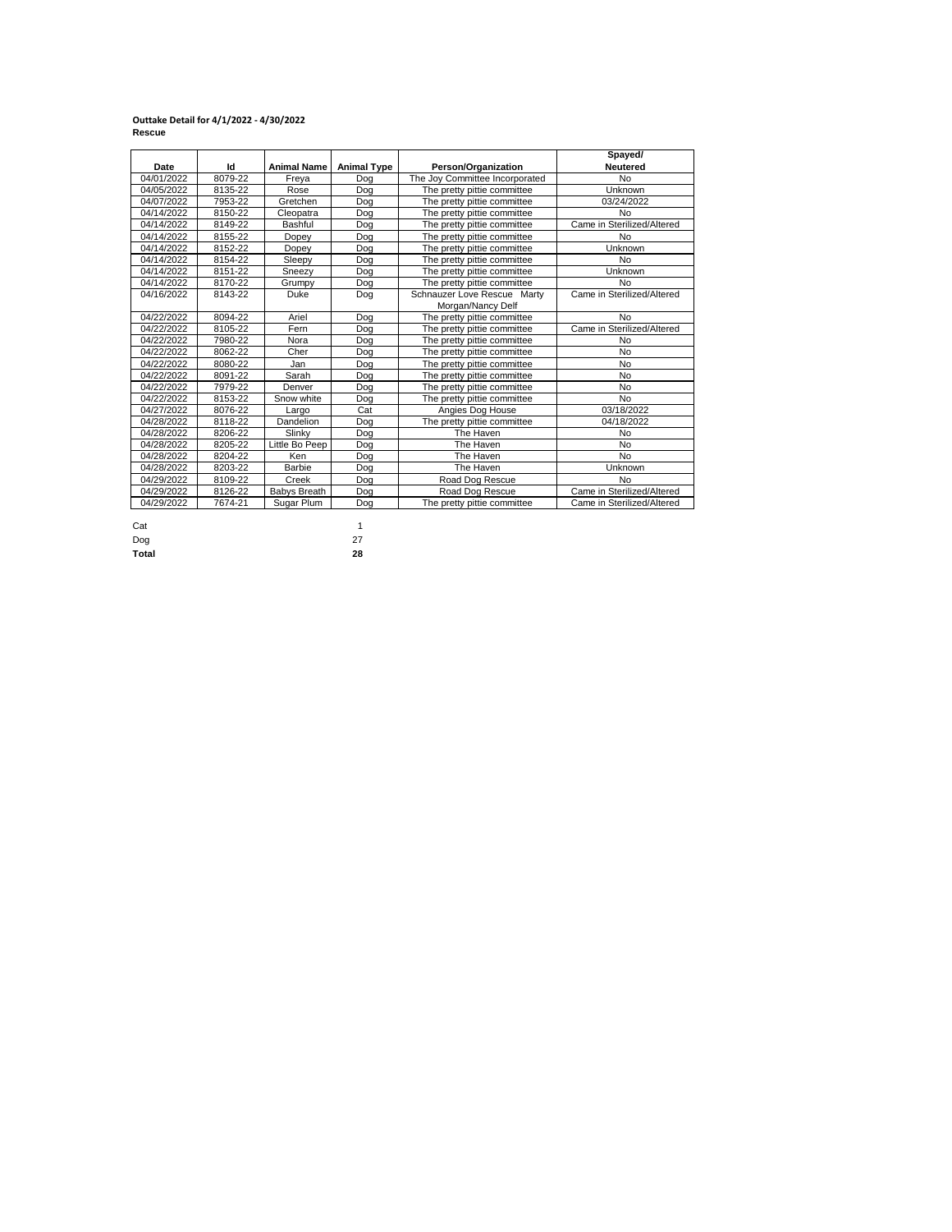#### **Outtake Detail for 4/1/2022 - 4/30/2022 Rescue**

|            |         |                    |                    |                                | Spayed/                    |
|------------|---------|--------------------|--------------------|--------------------------------|----------------------------|
| Date       | Id      | <b>Animal Name</b> | <b>Animal Type</b> | Person/Organization            | <b>Neutered</b>            |
| 04/01/2022 | 8079-22 | Freya              | Dog                | The Joy Committee Incorporated | No                         |
| 04/05/2022 | 8135-22 | Rose               | Dog                | The pretty pittie committee    | Unknown                    |
| 04/07/2022 | 7953-22 | Gretchen           | Dog                | The pretty pittie committee    | 03/24/2022                 |
| 04/14/2022 | 8150-22 | Cleopatra          | Dog                | The pretty pittie committee    | <b>No</b>                  |
| 04/14/2022 | 8149-22 | Bashful            | Dog                | The pretty pittie committee    | Came in Sterilized/Altered |
| 04/14/2022 | 8155-22 | Dopey              | Dog                | The pretty pittie committee    | No                         |
| 04/14/2022 | 8152-22 | Dopey              | Dog                | The pretty pittie committee    | Unknown                    |
| 04/14/2022 | 8154-22 | Sleepy             | Dog                | The pretty pittie committee    | <b>No</b>                  |
| 04/14/2022 | 8151-22 | Sneezy             | Dog                | The pretty pittie committee    | Unknown                    |
| 04/14/2022 | 8170-22 | Grumpy             | Dog                | The pretty pittie committee    | No                         |
| 04/16/2022 | 8143-22 | Duke               | Dog                | Schnauzer Love Rescue Marty    | Came in Sterilized/Altered |
|            |         |                    |                    | Morgan/Nancy Delf              |                            |
| 04/22/2022 | 8094-22 | Ariel              | Dog                | The pretty pittie committee    | <b>No</b>                  |
| 04/22/2022 | 8105-22 | Fern               | Dog                | The pretty pittie committee    | Came in Sterilized/Altered |
| 04/22/2022 | 7980-22 | Nora               | Dog                | The pretty pittie committee    | <b>No</b>                  |
| 04/22/2022 | 8062-22 | Cher               | Dog                | The pretty pittie committee    | <b>No</b>                  |
| 04/22/2022 | 8080-22 | Jan                | Dog                | The pretty pittie committee    | <b>No</b>                  |
| 04/22/2022 | 8091-22 | Sarah              | Dog                | The pretty pittie committee    | <b>No</b>                  |
| 04/22/2022 | 7979-22 | Denver             | Dog                | The pretty pittie committee    | <b>No</b>                  |
| 04/22/2022 | 8153-22 | Snow white         | Dog                | The pretty pittie committee    | <b>No</b>                  |
| 04/27/2022 | 8076-22 | Largo              | Cat                | Angies Dog House               | 03/18/2022                 |
| 04/28/2022 | 8118-22 | Dandelion          | Dog                | The pretty pittie committee    | 04/18/2022                 |
| 04/28/2022 | 8206-22 | Slinky             | Dog                | The Haven                      | No                         |
| 04/28/2022 | 8205-22 | Little Bo Peep     | Dog                | The Haven                      | No                         |
| 04/28/2022 | 8204-22 | Ken                | Dog                | The Haven                      | <b>No</b>                  |
| 04/28/2022 | 8203-22 | Barbie             | Dog                | The Haven                      | Unknown                    |
| 04/29/2022 | 8109-22 | Creek              | Dog                | Road Dog Rescue                | No                         |
| 04/29/2022 | 8126-22 | Babys Breath       | Dog                | Road Dog Rescue                | Came in Sterilized/Altered |
| 04/29/2022 | 7674-21 | Sugar Plum         | Dog                | The pretty pittie committee    | Came in Sterilized/Altered |

Cat and the contract of the contract of the contract of the contract of the contract of the contract of the contract of the contract of the contract of the contract of the contract of the contract of the contract of the co

Dog 27

**Total 28**